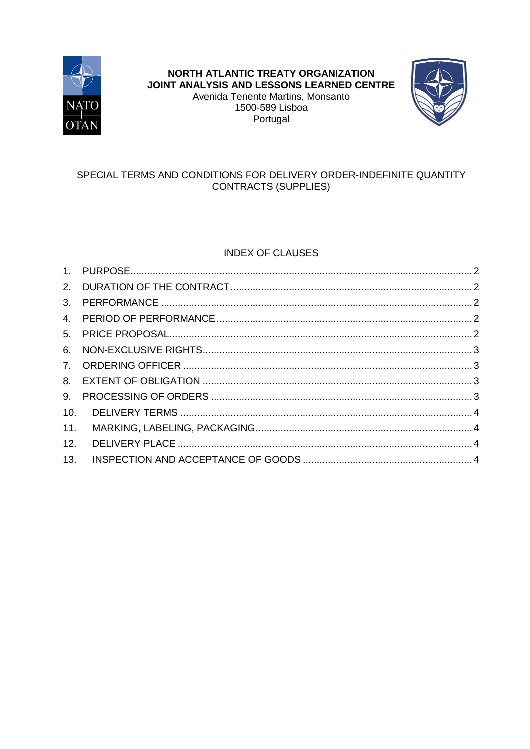

# NORTH ATLANTIC TREATY ORGANIZATION JOINT ANALYSIS AND LESSONS LEARNED CENTRE Avenida Tenente Martins, Monsanto 1500-589 Lisboa Portugal



# SPECIAL TERMS AND CONDITIONS FOR DELIVERY ORDER-INDEFINITE QUANTITY **CONTRACTS (SUPPLIES)**

# **INDEX OF CLAUSES**

| 9.  |  |
|-----|--|
| 10. |  |
| 11. |  |
| 12. |  |
| 13. |  |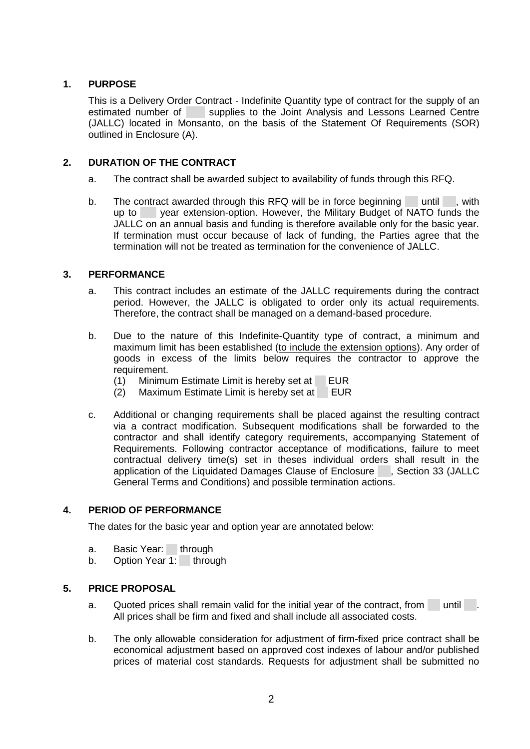# <span id="page-1-0"></span>**1. PURPOSE**

This is a Delivery Order Contract - Indefinite Quantity type of contract for the supply of an estimated number of supplies to the Joint Analysis and Lessons Learned Centre (JALLC) located in Monsanto, on the basis of the Statement Of Requirements (SOR) outlined in Enclosure (A).

## <span id="page-1-1"></span>**2. DURATION OF THE CONTRACT**

- a. The contract shall be awarded subject to availability of funds through this RFQ.
- b. The contract awarded through this RFQ will be in force beginning until , with up to year extension-option. However, the Military Budget of NATO funds the JALLC on an annual basis and funding is therefore available only for the basic year. If termination must occur because of lack of funding, the Parties agree that the termination will not be treated as termination for the convenience of JALLC.

## <span id="page-1-2"></span>**3. PERFORMANCE**

- a. This contract includes an estimate of the JALLC requirements during the contract period. However, the JALLC is obligated to order only its actual requirements. Therefore, the contract shall be managed on a demand-based procedure.
- b. Due to the nature of this Indefinite-Quantity type of contract, a minimum and maximum limit has been established (to include the extension options). Any order of goods in excess of the limits below requires the contractor to approve the requirement.
	- (1) Minimum Estimate Limit is hereby set at EUR
	- (2) Maximum Estimate Limit is hereby set at EUR
- c. Additional or changing requirements shall be placed against the resulting contract via a contract modification. Subsequent modifications shall be forwarded to the contractor and shall identify category requirements, accompanying Statement of Requirements. Following contractor acceptance of modifications, failure to meet contractual delivery time(s) set in theses individual orders shall result in the application of the Liquidated Damages Clause of Enclosure , Section 33 (JALLC General Terms and Conditions) and possible termination actions.

## <span id="page-1-3"></span>**4. PERIOD OF PERFORMANCE**

The dates for the basic year and option year are annotated below:

- a. Basic Year: through
- b. Option Year 1: through

## <span id="page-1-4"></span>**5. PRICE PROPOSAL**

- a. Quoted prices shall remain valid for the initial year of the contract, from until . All prices shall be firm and fixed and shall include all associated costs.
- b. The only allowable consideration for adjustment of firm-fixed price contract shall be economical adjustment based on approved cost indexes of labour and/or published prices of material cost standards. Requests for adjustment shall be submitted no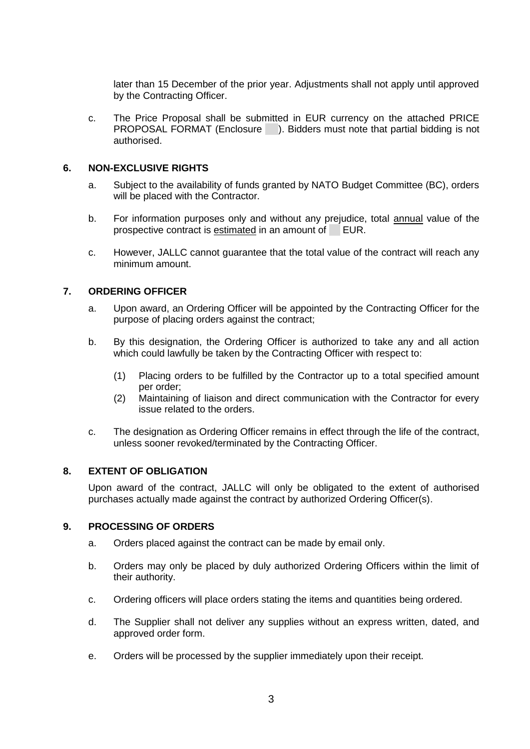later than 15 December of the prior year. Adjustments shall not apply until approved by the Contracting Officer.

c. The Price Proposal shall be submitted in EUR currency on the attached PRICE PROPOSAL FORMAT (Enclosure ). Bidders must note that partial bidding is not authorised.

## <span id="page-2-0"></span>**6. NON-EXCLUSIVE RIGHTS**

- a. Subject to the availability of funds granted by NATO Budget Committee (BC), orders will be placed with the Contractor.
- b. For information purposes only and without any prejudice, total annual value of the prospective contract is estimated in an amount of EUR.
- c. However, JALLC cannot guarantee that the total value of the contract will reach any minimum amount.

## <span id="page-2-1"></span>**7. ORDERING OFFICER**

- a. Upon award, an Ordering Officer will be appointed by the Contracting Officer for the purpose of placing orders against the contract;
- b. By this designation, the Ordering Officer is authorized to take any and all action which could lawfully be taken by the Contracting Officer with respect to:
	- (1) Placing orders to be fulfilled by the Contractor up to a total specified amount per order;
	- (2) Maintaining of liaison and direct communication with the Contractor for every issue related to the orders.
- c. The designation as Ordering Officer remains in effect through the life of the contract, unless sooner revoked/terminated by the Contracting Officer.

## <span id="page-2-2"></span>**8. EXTENT OF OBLIGATION**

Upon award of the contract, JALLC will only be obligated to the extent of authorised purchases actually made against the contract by authorized Ordering Officer(s).

## <span id="page-2-3"></span>**9. PROCESSING OF ORDERS**

- a. Orders placed against the contract can be made by email only.
- b. Orders may only be placed by duly authorized Ordering Officers within the limit of their authority.
- c. Ordering officers will place orders stating the items and quantities being ordered.
- d. The Supplier shall not deliver any supplies without an express written, dated, and approved order form.
- e. Orders will be processed by the supplier immediately upon their receipt.